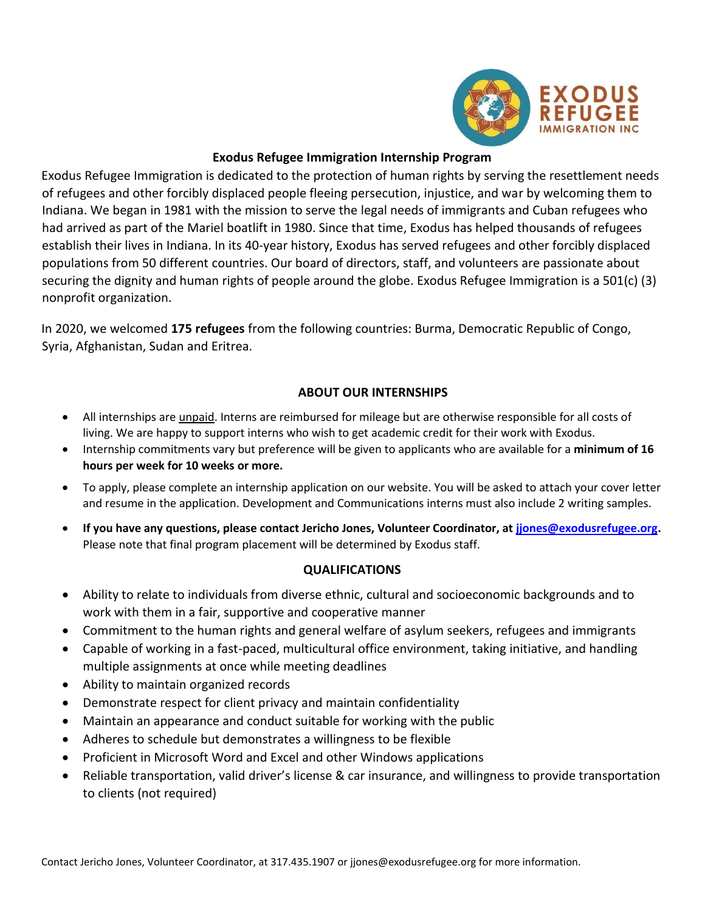

## **Exodus Refugee Immigration Internship Program**

Exodus Refugee Immigration is dedicated to the protection of human rights by serving the resettlement needs of refugees and other forcibly displaced people fleeing persecution, injustice, and war by welcoming them to Indiana. We began in 1981 with the mission to serve the legal needs of immigrants and Cuban refugees who had arrived as part of the Mariel boatlift in 1980. Since that time, Exodus has helped thousands of refugees establish their lives in Indiana. In its 40-year history, Exodus has served refugees and other forcibly displaced populations from 50 different countries. Our board of directors, staff, and volunteers are passionate about securing the dignity and human rights of people around the globe. Exodus Refugee Immigration is a 501(c) (3) nonprofit organization.

In 2020, we welcomed **175 refugees** from the following countries: Burma, Democratic Republic of Congo, Syria, Afghanistan, Sudan and Eritrea.

# **ABOUT OUR INTERNSHIPS**

- All internships are unpaid. Interns are reimbursed for mileage but are otherwise responsible for all costs of living. We are happy to support interns who wish to get academic credit for their work with Exodus.
- Internship commitments vary but preference will be given to applicants who are available for a **minimum of 16 hours per week for 10 weeks or more.**
- To apply, please complete an internship application on our website. You will be asked to attach your cover letter and resume in the application. Development and Communications interns must also include 2 writing samples.
- **If you have any questions, please contact Jericho Jones, Volunteer Coordinator, at [jjones@exodusrefugee.org.](mailto:jjones@exodusrefugee.org)** Please note that final program placement will be determined by Exodus staff.

# **QUALIFICATIONS**

- Ability to relate to individuals from diverse ethnic, cultural and socioeconomic backgrounds and to work with them in a fair, supportive and cooperative manner
- Commitment to the human rights and general welfare of asylum seekers, refugees and immigrants
- Capable of working in a fast-paced, multicultural office environment, taking initiative, and handling multiple assignments at once while meeting deadlines
- Ability to maintain organized records
- Demonstrate respect for client privacy and maintain confidentiality
- Maintain an appearance and conduct suitable for working with the public
- Adheres to schedule but demonstrates a willingness to be flexible
- Proficient in Microsoft Word and Excel and other Windows applications
- Reliable transportation, valid driver's license & car insurance, and willingness to provide transportation to clients (not required)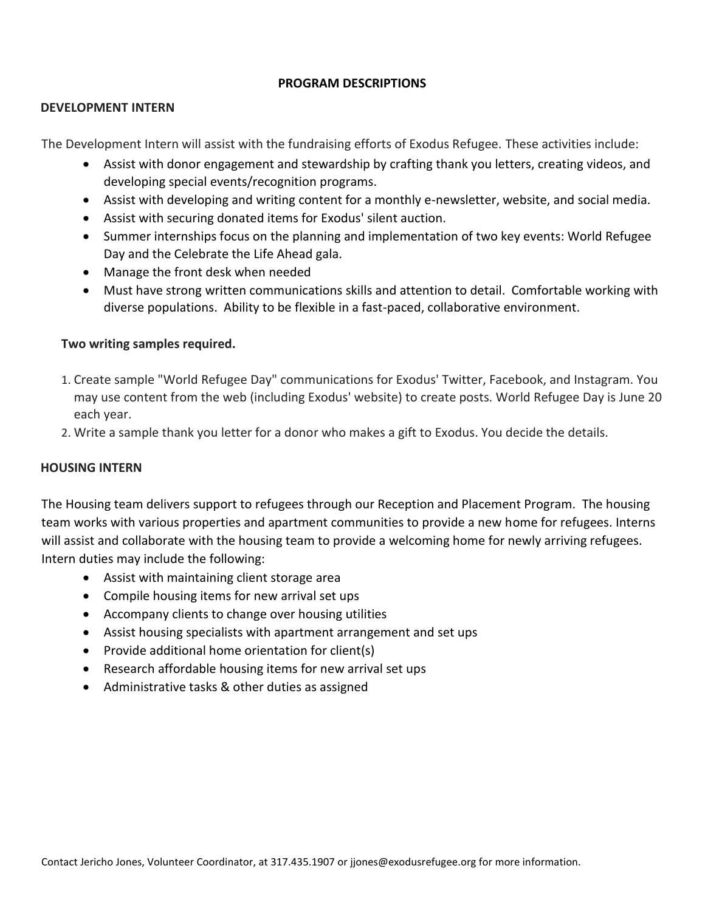#### **PROGRAM DESCRIPTIONS**

#### **DEVELOPMENT INTERN**

The Development Intern will assist with the fundraising efforts of Exodus Refugee. These activities include:

- Assist with donor engagement and stewardship by crafting thank you letters, creating videos, and developing special events/recognition programs.
- Assist with developing and writing content for a monthly e-newsletter, website, and social media.
- Assist with securing donated items for Exodus' silent auction.
- Summer internships focus on the planning and implementation of two key events: World Refugee Day and the Celebrate the Life Ahead gala.
- Manage the front desk when needed
- Must have strong written communications skills and attention to detail. Comfortable working with diverse populations. Ability to be flexible in a fast-paced, collaborative environment.

#### **Two writing samples required.**

- 1. Create sample "World Refugee Day" communications for Exodus' Twitter, Facebook, and Instagram. You may use content from the web (including Exodus' website) to create posts. World Refugee Day is June 20 each year.
- 2. Write a sample thank you letter for a donor who makes a gift to Exodus. You decide the details.

#### **HOUSING INTERN**

The Housing team delivers support to refugees through our Reception and Placement Program. The housing team works with various properties and apartment communities to provide a new home for refugees. Interns will assist and collaborate with the housing team to provide a welcoming home for newly arriving refugees. Intern duties may include the following:

- Assist with maintaining client storage area
- Compile housing items for new arrival set ups
- Accompany clients to change over housing utilities
- Assist housing specialists with apartment arrangement and set ups
- Provide additional home orientation for client(s)
- Research affordable housing items for new arrival set ups
- Administrative tasks & other duties as assigned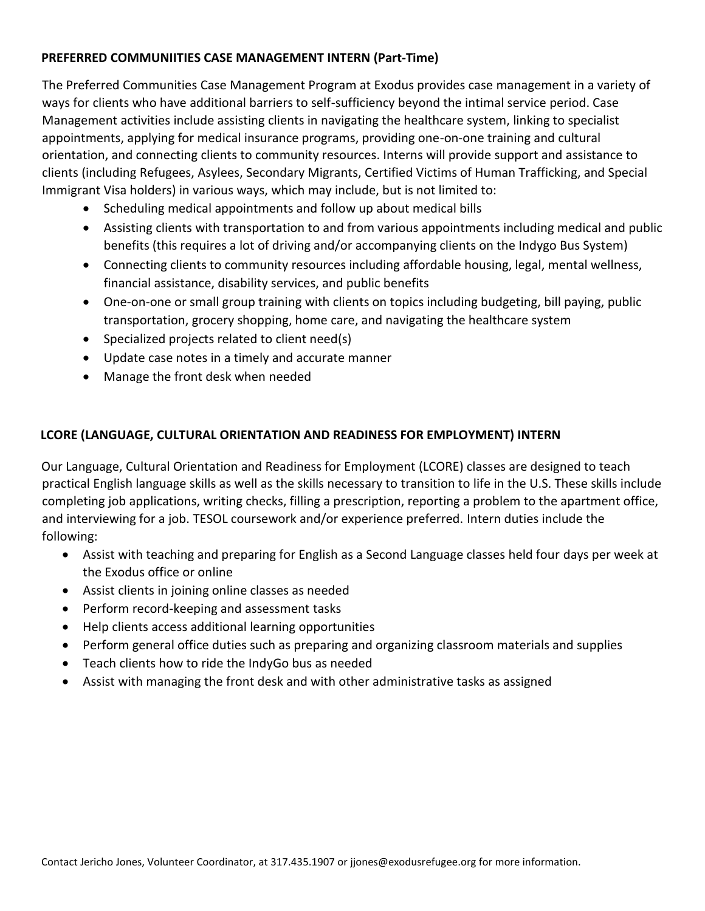## **PREFERRED COMMUNIITIES CASE MANAGEMENT INTERN (Part-Time)**

The Preferred Communities Case Management Program at Exodus provides case management in a variety of ways for clients who have additional barriers to self-sufficiency beyond the intimal service period. Case Management activities include assisting clients in navigating the healthcare system, linking to specialist appointments, applying for medical insurance programs, providing one-on-one training and cultural orientation, and connecting clients to community resources. Interns will provide support and assistance to clients (including Refugees, Asylees, Secondary Migrants, Certified Victims of Human Trafficking, and Special Immigrant Visa holders) in various ways, which may include, but is not limited to:

- Scheduling medical appointments and follow up about medical bills
- Assisting clients with transportation to and from various appointments including medical and public benefits (this requires a lot of driving and/or accompanying clients on the Indygo Bus System)
- Connecting clients to community resources including affordable housing, legal, mental wellness, financial assistance, disability services, and public benefits
- One-on-one or small group training with clients on topics including budgeting, bill paying, public transportation, grocery shopping, home care, and navigating the healthcare system
- Specialized projects related to client need(s)
- Update case notes in a timely and accurate manner
- Manage the front desk when needed

## **LCORE (LANGUAGE, CULTURAL ORIENTATION AND READINESS FOR EMPLOYMENT) INTERN**

Our Language, Cultural Orientation and Readiness for Employment (LCORE) classes are designed to teach practical English language skills as well as the skills necessary to transition to life in the U.S. These skills include completing job applications, writing checks, filling a prescription, reporting a problem to the apartment office, and interviewing for a job. TESOL coursework and/or experience preferred. Intern duties include the following:

- Assist with teaching and preparing for English as a Second Language classes held four days per week at the Exodus office or online
- Assist clients in joining online classes as needed
- Perform record-keeping and assessment tasks
- Help clients access additional learning opportunities
- Perform general office duties such as preparing and organizing classroom materials and supplies
- Teach clients how to ride the IndyGo bus as needed
- Assist with managing the front desk and with other administrative tasks as assigned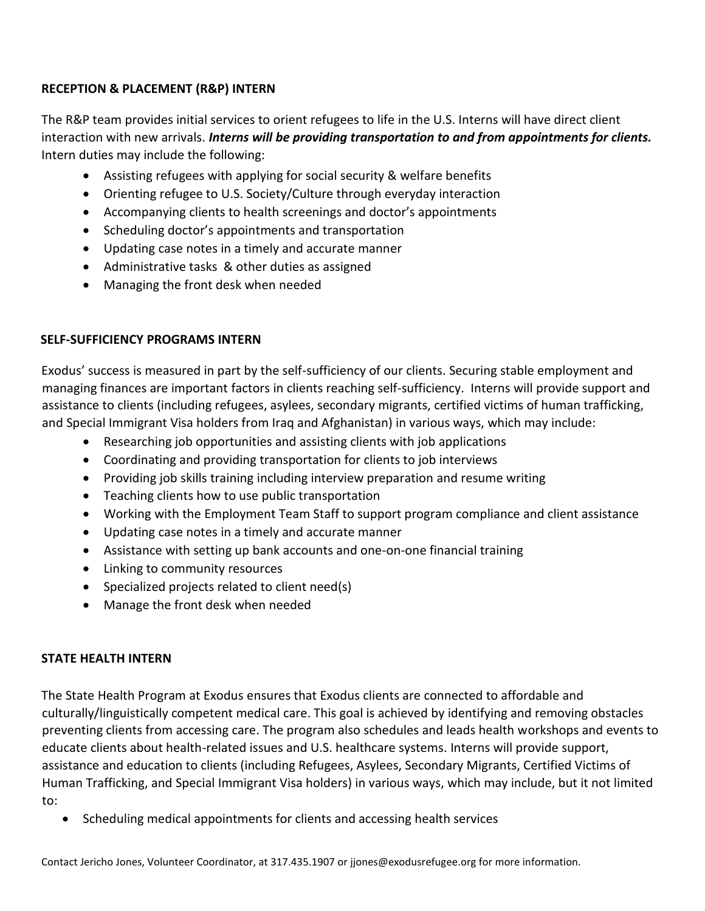# **RECEPTION & PLACEMENT (R&P) INTERN**

The R&P team provides initial services to orient refugees to life in the U.S. Interns will have direct client interaction with new arrivals. *Interns will be providing transportation to and from appointments for clients.*  Intern duties may include the following:

- Assisting refugees with applying for social security & welfare benefits
- Orienting refugee to U.S. Society/Culture through everyday interaction
- Accompanying clients to health screenings and doctor's appointments
- Scheduling doctor's appointments and transportation
- Updating case notes in a timely and accurate manner
- Administrative tasks & other duties as assigned
- Managing the front desk when needed

## **SELF-SUFFICIENCY PROGRAMS INTERN**

Exodus' success is measured in part by the self-sufficiency of our clients. Securing stable employment and managing finances are important factors in clients reaching self-sufficiency. Interns will provide support and assistance to clients (including refugees, asylees, secondary migrants, certified victims of human trafficking, and Special Immigrant Visa holders from Iraq and Afghanistan) in various ways, which may include:

- Researching job opportunities and assisting clients with job applications
- Coordinating and providing transportation for clients to job interviews
- Providing job skills training including interview preparation and resume writing
- Teaching clients how to use public transportation
- Working with the Employment Team Staff to support program compliance and client assistance
- Updating case notes in a timely and accurate manner
- Assistance with setting up bank accounts and one-on-one financial training
- Linking to community resources
- Specialized projects related to client need(s)
- Manage the front desk when needed

# **STATE HEALTH INTERN**

The State Health Program at Exodus ensures that Exodus clients are connected to affordable and culturally/linguistically competent medical care. This goal is achieved by identifying and removing obstacles preventing clients from accessing care. The program also schedules and leads health workshops and events to educate clients about health-related issues and U.S. healthcare systems. Interns will provide support, assistance and education to clients (including Refugees, Asylees, Secondary Migrants, Certified Victims of Human Trafficking, and Special Immigrant Visa holders) in various ways, which may include, but it not limited to:

• Scheduling medical appointments for clients and accessing health services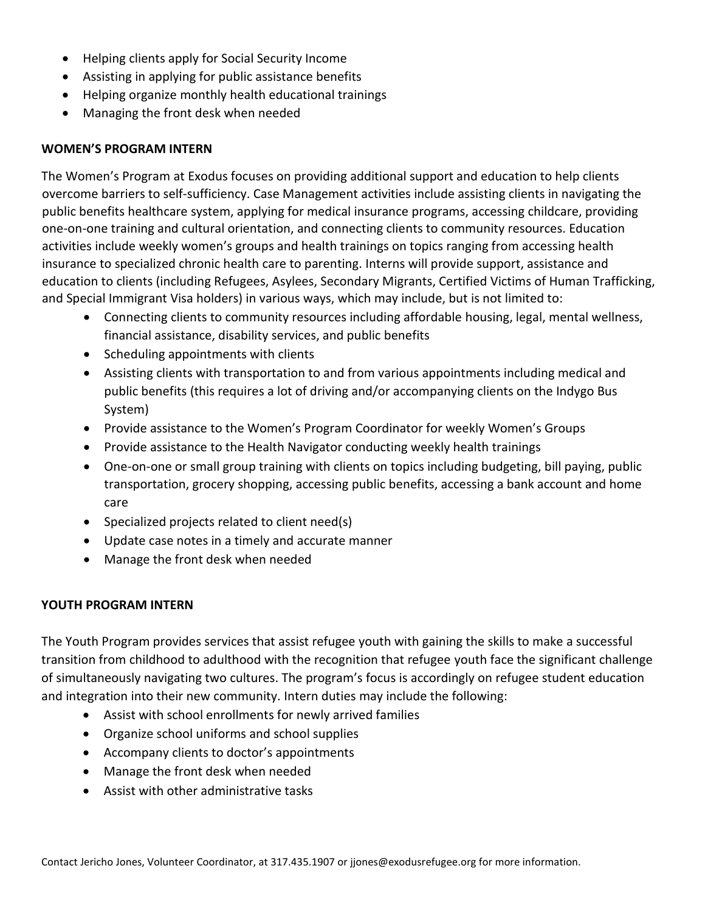- Helping clients apply for Social Security Income
- Assisting in applying for public assistance benefits
- Helping organize monthly health educational trainings
- Managing the front desk when needed

## **WOMEN'S PROGRAM INTERN**

The Women's Program at Exodus focuses on providing additional support and education to help clients overcome barriers to self-sufficiency. Case Management activities include assisting clients in navigating the public benefits healthcare system, applying for medical insurance programs, accessing childcare, providing one-on-one training and cultural orientation, and connecting clients to community resources. Education activities include weekly women's groups and health trainings on topics ranging from accessing health insurance to specialized chronic health care to parenting. Interns will provide support, assistance and education to clients (including Refugees, Asylees, Secondary Migrants, Certified Victims of Human Trafficking, and Special Immigrant Visa holders) in various ways, which may include, but is not limited to:

- Connecting clients to community resources including affordable housing, legal, mental wellness, financial assistance, disability services, and public benefits
- Scheduling appointments with clients
- Assisting clients with transportation to and from various appointments including medical and public benefits (this requires a lot of driving and/or accompanying clients on the Indygo Bus System)
- Provide assistance to the Women's Program Coordinator for weekly Women's Groups
- Provide assistance to the Health Navigator conducting weekly health trainings
- One-on-one or small group training with clients on topics including budgeting, bill paying, public transportation, grocery shopping, accessing public benefits, accessing a bank account and home care
- Specialized projects related to client need(s)
- Update case notes in a timely and accurate manner
- Manage the front desk when needed

# **YOUTH PROGRAM INTERN**

The Youth Program provides services that assist refugee youth with gaining the skills to make a successful transition from childhood to adulthood with the recognition that refugee youth face the significant challenge of simultaneously navigating two cultures. The program's focus is accordingly on refugee student education and integration into their new community. Intern duties may include the following:

- Assist with school enrollments for newly arrived families
- Organize school uniforms and school supplies
- Accompany clients to doctor's appointments
- Manage the front desk when needed
- Assist with other administrative tasks